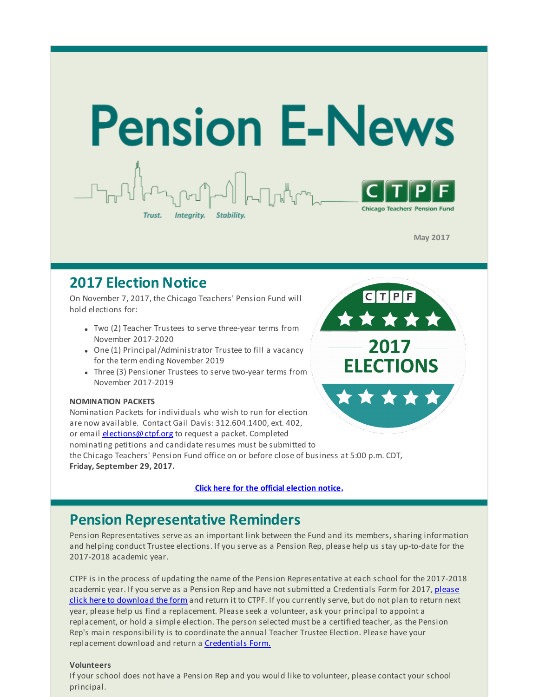

**May 2017**

CTPF

2017

**ELECTIONS** 

### **2017 Election Notice**

On November 7, 2017, the Chicago Teachers' Pension Fund will hold elections for:

- Two (2) Teacher Trustees to serve three-year terms from November 2017-2020
- One (1) Principal/Administrator Trustee to fill a vacancy for the term ending November 2019
- Three (3) Pensioner Trustees to serve two-year terms from November 2017-2019

#### **NOMINATION PACKETS**

Nomination Packets for individuals who wish to run for election are now available. Contact Gail Davis: 312.604.1400, ext. 402, or email [elections@ctpf.org](mailto:elections@ctpf.org) to request a packet. Completed nominating petitions and candidate resumes must be submitted to the Chicago Teachers' Pension Fund office on or before close of business at 5:00 p.m. CDT, **Friday, September 29, 2017.**

**Click here for the official [election](http://r20.rs6.net/tn.jsp?f=001PrDQ1HR3wQ7k85-rH90Jb2TCkQ2jaLci3Sq_PEE4PzQtlAB7QzrO6plxgJ4V1Nu0mVzUpD68VF9v4EUM2Of8dEbC5FpAAAso5Vg5Sp_XrjId8MlMGssYbl_KAcWLupR5EinACDXpyWdOixjaGn6Q5o_4jbFOMXZ7PM9omKd1vxU77_wO1VmMFDHrLnEgtL1VhlMKIBrrsR1M4pApkqo5vhqnkZGlxEqS3b7m3nvlPyLCscOqNwjW82j-BGyt5hvK&c=&ch=) notice.**

#### **Pension Representative Reminders**

Pension Representatives serve as an important link between the Fund and its members, sharing information and helping conduct Trustee elections. If you serve as a Pension Rep, please help us stay up-to-date for the 2017-2018 academic year.

CTPF is in the process of updating the name of the Pension Representative at each school for the 2017-2018 academic year. If you serve as a Pension Rep and have not submitted a [Credentials](http://r20.rs6.net/tn.jsp?f=001PrDQ1HR3wQ7k85-rH90Jb2TCkQ2jaLci3Sq_PEE4PzQtlAB7QzrO6nCjhqojQxJipgVKykHRGbT3hlHD2xvichh5xu2h7ZK7kLFJaLCCHEVsoGyLZISDtEC1P4-7UdDVL7ttE7vfQAtIdAAUjdmM4dxbVmUynQDCsSLaXNdizrulgfre3CC79AGJ_MHKi_cjxmxKQLKBPVF5fMUXXbJGaTbLOlyGy-_wsyBKWDNO5vdLJDGrx9RO2bW6DX83023l&c=&ch=) Form for 2017, please click here to download the form and return it to CTPF. If you currently serve, but do not plan to return next year, please help us find a replacement. Please seek a volunteer, ask your principal to appoint a replacement, or hold a simple election. The person selected must be a certified teacher, as the Pension Rep's main responsibility is to coordinate the annual Teacher Trustee Election. Please have your replacement download and return a **[Credentials](http://r20.rs6.net/tn.jsp?f=001PrDQ1HR3wQ7k85-rH90Jb2TCkQ2jaLci3Sq_PEE4PzQtlAB7QzrO6nCjhqojQxJipgVKykHRGbT3hlHD2xvichh5xu2h7ZK7kLFJaLCCHEVsoGyLZISDtEC1P4-7UdDVL7ttE7vfQAtIdAAUjdmM4dxbVmUynQDCsSLaXNdizrulgfre3CC79AGJ_MHKi_cjxmxKQLKBPVF5fMUXXbJGaTbLOlyGy-_wsyBKWDNO5vdLJDGrx9RO2bW6DX83023l&c=&ch=) Form.** 

#### **Volunteers**

If your school does not have a Pension Rep and you would like to volunteer, please contact your school principal.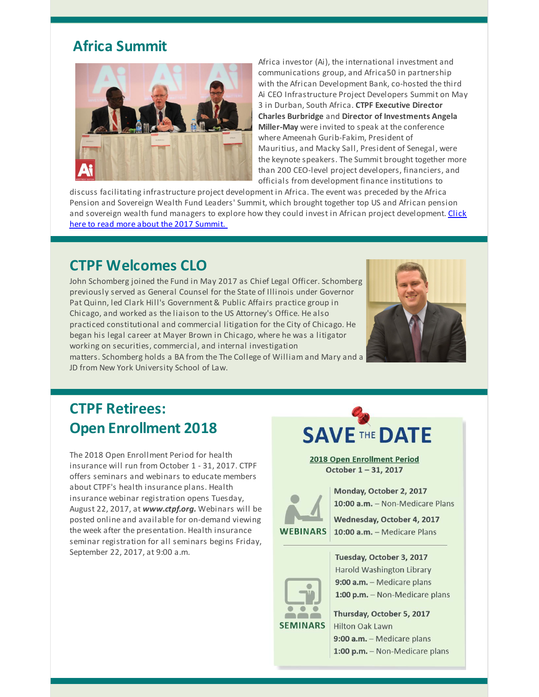# **Africa Summit**



Africa investor (Ai), the international investment and communications group, and Africa50 in partnership with the African Development Bank, co-hosted the third Ai CEO Infrastructure Project Developers Summit on May 3 in Durban, South Africa. **CTPF Executive Director Charles Burbridge** and **Director of Investments Angela Miller-May** were invited to speak at the conference where Ameenah Gurib-Fakim, President of Mauritius, and Macky Sall, President of Senegal, were the keynote speakers. The Summit brought together more than 200 CEO-level project developers, financiers, and officials from development finance institutions to

discuss facilitating infrastructure project development in Africa. The event was preceded by the Africa Pension and Sovereign Wealth Fund Leaders' Summit, which brought together top US and African pension and sovereign wealth fund managers to explore how they could invest in African project [development.](http://r20.rs6.net/tn.jsp?f=001PrDQ1HR3wQ7k85-rH90Jb2TCkQ2jaLci3Sq_PEE4PzQtlAB7QzrO6kxNxXq-zjXOL4H63VnmWDwgaCZ0IJ2pDfiUd6NBzn7Imzhxl2Oqds_08kX6rkDCfNikAUP5sqmFgPG1CQ_JCp26ig0EzSIWExLWgHqtAdHtio6u-YLot8SnpsfXGpNalkJUNWFR0xGDELDyzXy1IzQ=&c=&ch=) Click here to read more about the 2017 Summit.

## **CTPF Welcomes CLO**

John Schomberg joined the Fund in May 2017 as Chief Legal Officer. Schomberg previously served as General Counsel for the State of Illinois under Governor Pat Quinn, led Clark Hill's Government & Public Affairs practice group in Chicago, and worked as the liaison to the US Attorney's Office. He also practiced constitutional and commercial litigation for the City of Chicago. He began his legal career at Mayer Brown in Chicago, where he was a litigator working on securities, commercial, and internal investigation matters. Schomberg holds a BA from the The College of William and Mary and a JD from New York University School of Law.



# **CTPF Retirees: Open Enrollment 2018**

The 2018 Open Enrollment Period for health insurance will run from October 1 - 31, 2017. CTPF offers seminars and webinars to educate members about CTPF's health insurance plans. Health insurance webinar registration opens Tuesday, August 22, 2017, at *www.ctpf.org.* Webinars will be posted online and available for on-demand viewing the week after the presentation. Health insurance seminar registration for all seminars begins Friday, September 22, 2017, at 9:00 a.m.

# **SAVE THE DATE**

2018 Open Enrollment Period October 1-31, 2017



Monday, October 2, 2017 10:00 a.m. - Non-Medicare Plans

Wednesday, October 4, 2017 10:00 a.m. - Medicare Plans



Tuesday, October 3, 2017 Harold Washington Library 9:00 a.m. - Medicare plans 1:00 p.m. - Non-Medicare plans

Thursday, October 5, 2017 **Hilton Oak Lawn** 9:00 a.m. - Medicare plans 1:00 p.m. - Non-Medicare plans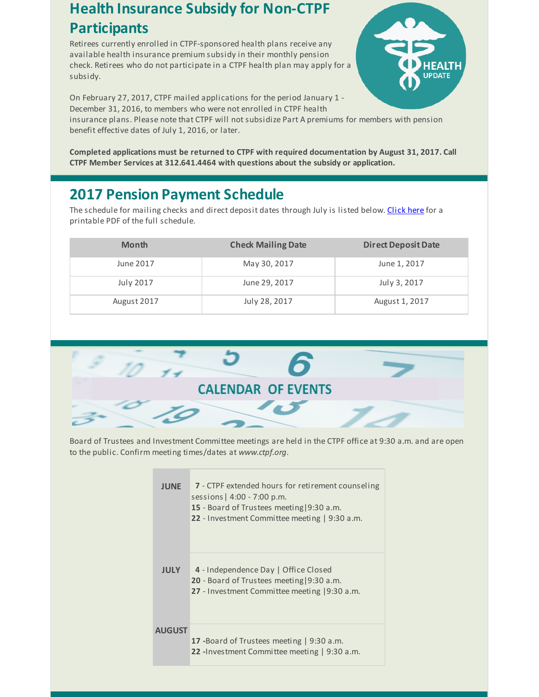### **Health Insurance Subsidy for Non-CTPF Participants**

Retirees currently enrolled in CTPF-sponsored health plans receive any available health insurance premium subsidy in their monthly pension check. Retirees who do not participate in a CTPF health plan may apply for a subsidy.



On February 27, 2017, CTPF mailed applications for the period January 1 - December 31, 2016, to members who were not enrolled in CTPF health insurance plans. Please note that CTPF will not subsidize Part A premiums for members with pension

benefit effective dates of July 1, 2016, or later.

**Completed applications must be returned to CTPF with required documentation by August 31, 2017. Call CTPF Member Services at 312.641.4464 with questions about the subsidy or application.**

## **2017 Pension Payment Schedule**

The schedule for mailing checks and direct deposit dates through July is listed below. [Click](http://r20.rs6.net/tn.jsp?f=001PrDQ1HR3wQ7k85-rH90Jb2TCkQ2jaLci3Sq_PEE4PzQtlAB7QzrO6oSh1-_kCUcHtNBS1N_Q1vsG7qLBlaKKxcasbTBEBTtJUU15ljryAbpovRyCY_PZGygMtYT-yiwFzgmkqkf0II4o6rWSoRq9Rm8FVR5CjqM_IprEb7MRHh9RDgnL9iFhva2hm88zuH9c1B_Fxb0JyBgpcRk1zHVj8Q==&c=&ch=) here for a printable PDF of the full schedule.

| <b>Month</b>     | <b>Check Mailing Date</b> | <b>Direct Deposit Date</b> |
|------------------|---------------------------|----------------------------|
| June 2017        | May 30, 2017              | June 1, 2017               |
| <b>July 2017</b> | June 29, 2017             | July 3, 2017               |
| August 2017      | July 28, 2017             | August 1, 2017             |



Board of Trustees and Investment Committee meetings are held in the CTPF office at 9:30 a.m. and are open to the public. Confirm meeting times/dates at *www.ctpf.org*.

| <b>JUNE</b>   | 7 - CTPF extended hours for retirement counseling<br>sessions   $4:00 - 7:00$ p.m.<br>15 - Board of Trustees meeting $9:30$ a.m.<br>22 - Investment Committee meeting   9:30 a.m. |
|---------------|-----------------------------------------------------------------------------------------------------------------------------------------------------------------------------------|
| <b>JULY</b>   | 4 - Independence Day   Office Closed<br><b>20</b> - Board of Trustees meeting $9:30$ a.m.<br>27 - Investment Committee meeting 19:30 a.m.                                         |
| <b>AUGUST</b> | <b>17</b> -Board of Trustees meeting   9:30 a.m.<br><b>22</b> - Investment Committee meeting   9:30 a.m.                                                                          |